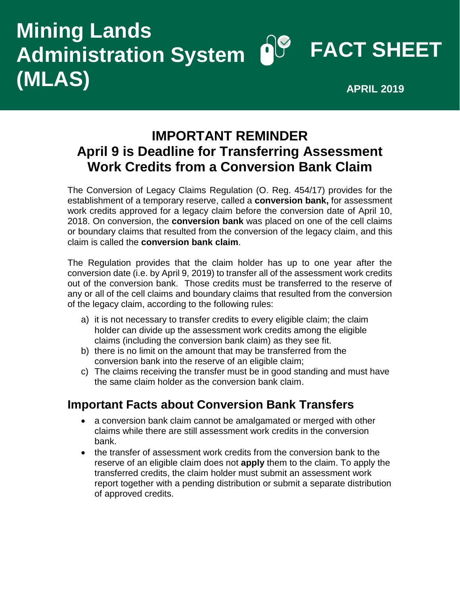# **FACT SHEET Mining Lands Administration System (MLAS) APRIL 2019**

## **IMPORTANT REMINDER April 9 is Deadline for Transferring Assessment Work Credits from a Conversion Bank Claim**

The Conversion of Legacy Claims Regulation (O. Reg. 454/17) provides for the establishment of a temporary reserve, called a **conversion bank,** for assessment work credits approved for a legacy claim before the conversion date of April 10, 2018. On conversion, the **conversion bank** was placed on one of the cell claims or boundary claims that resulted from the conversion of the legacy claim, and this claim is called the **conversion bank claim**.

The Regulation provides that the claim holder has up to one year after the conversion date (i.e. by April 9, 2019) to transfer all of the assessment work credits out of the conversion bank. Those credits must be transferred to the reserve of any or all of the cell claims and boundary claims that resulted from the conversion of the legacy claim, according to the following rules:

- a) it is not necessary to transfer credits to every eligible claim; the claim holder can divide up the assessment work credits among the eligible claims (including the conversion bank claim) as they see fit.
- b) there is no limit on the amount that may be transferred from the conversion bank into the reserve of an eligible claim;
- c) The claims receiving the transfer must be in good standing and must have the same claim holder as the conversion bank claim.

### **Important Facts about Conversion Bank Transfers**

- a conversion bank claim cannot be amalgamated or merged with other claims while there are still assessment work credits in the conversion bank.
- the transfer of assessment work credits from the conversion bank to the reserve of an eligible claim does not **apply** them to the claim. To apply the transferred credits, the claim holder must submit an assessment work report together with a pending distribution or submit a separate distribution of approved credits.